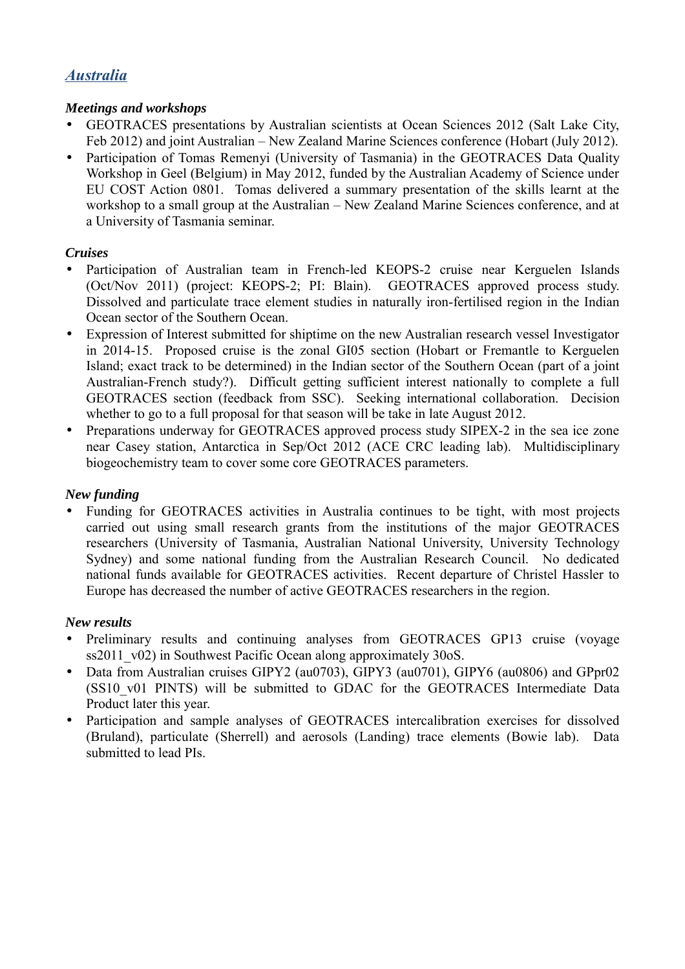# *Australia*

### *Meetings and workshops*

- GEOTRACES presentations by Australian scientists at Ocean Sciences 2012 (Salt Lake City, Feb 2012) and joint Australian – New Zealand Marine Sciences conference (Hobart (July 2012).
- Participation of Tomas Remenyi (University of Tasmania) in the GEOTRACES Data Quality Workshop in Geel (Belgium) in May 2012, funded by the Australian Academy of Science under EU COST Action 0801. Tomas delivered a summary presentation of the skills learnt at the workshop to a small group at the Australian – New Zealand Marine Sciences conference, and at a University of Tasmania seminar.

#### *Cruises*

- Participation of Australian team in French-led KEOPS-2 cruise near Kerguelen Islands (Oct/Nov 2011) (project: KEOPS-2; PI: Blain). GEOTRACES approved process study. Dissolved and particulate trace element studies in naturally iron-fertilised region in the Indian Ocean sector of the Southern Ocean.
- Expression of Interest submitted for shiptime on the new Australian research vessel Investigator in 2014-15. Proposed cruise is the zonal GI05 section (Hobart or Fremantle to Kerguelen Island; exact track to be determined) in the Indian sector of the Southern Ocean (part of a joint Australian-French study?). Difficult getting sufficient interest nationally to complete a full GEOTRACES section (feedback from SSC). Seeking international collaboration. Decision whether to go to a full proposal for that season will be take in late August 2012.
- Preparations underway for GEOTRACES approved process study SIPEX-2 in the sea ice zone near Casey station, Antarctica in Sep/Oct 2012 (ACE CRC leading lab). Multidisciplinary biogeochemistry team to cover some core GEOTRACES parameters.

# *New funding*

• Funding for GEOTRACES activities in Australia continues to be tight, with most projects carried out using small research grants from the institutions of the major GEOTRACES researchers (University of Tasmania, Australian National University, University Technology Sydney) and some national funding from the Australian Research Council. No dedicated national funds available for GEOTRACES activities. Recent departure of Christel Hassler to Europe has decreased the number of active GEOTRACES researchers in the region.

#### *New results*

- Preliminary results and continuing analyses from GEOTRACES GP13 cruise (voyage ss2011 v02) in Southwest Pacific Ocean along approximately 30oS.
- Data from Australian cruises GIPY2 (au0703), GIPY3 (au0701), GIPY6 (au0806) and GPpr02 (SS10 v01 PINTS) will be submitted to GDAC for the GEOTRACES Intermediate Data Product later this year.
- Participation and sample analyses of GEOTRACES intercalibration exercises for dissolved (Bruland), particulate (Sherrell) and aerosols (Landing) trace elements (Bowie lab). Data submitted to lead PIs.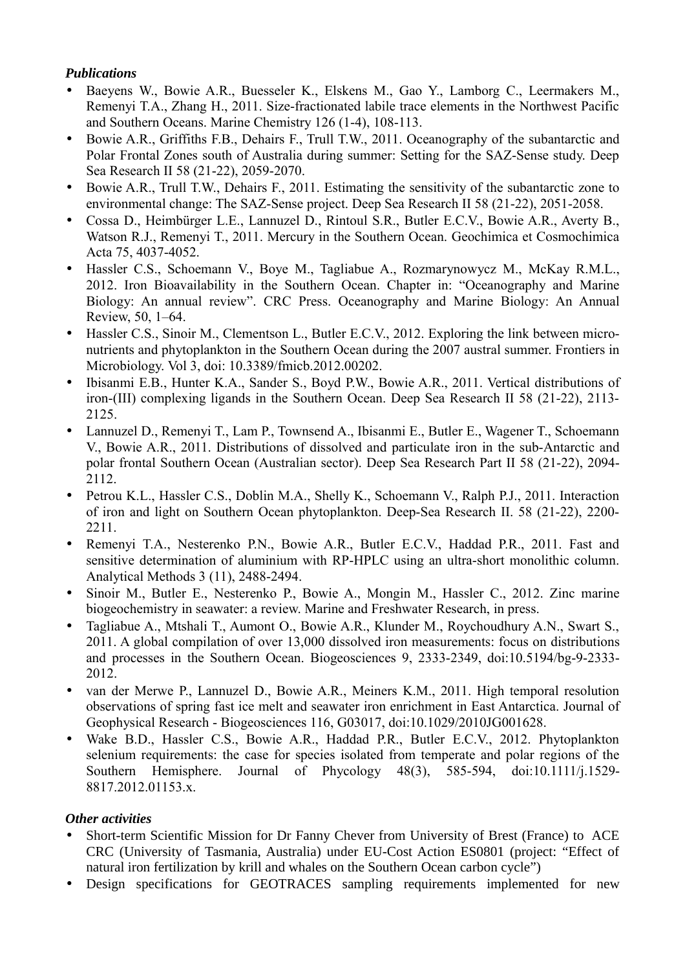#### *Publications*

- Baeyens W., Bowie A.R., Buesseler K., Elskens M., Gao Y., Lamborg C., Leermakers M., Remenyi T.A., Zhang H., 2011. Size-fractionated labile trace elements in the Northwest Pacific and Southern Oceans. Marine Chemistry 126 (1-4), 108-113.
- Bowie A.R., Griffiths F.B., Dehairs F., Trull T.W., 2011. Oceanography of the subantarctic and Polar Frontal Zones south of Australia during summer: Setting for the SAZ-Sense study. Deep Sea Research II 58 (21-22), 2059-2070.
- Bowie A.R., Trull T.W., Dehairs F., 2011. Estimating the sensitivity of the subantarctic zone to environmental change: The SAZ-Sense project. Deep Sea Research II 58 (21-22), 2051-2058.
- Cossa D., Heimbürger L.E., Lannuzel D., Rintoul S.R., Butler E.C.V., Bowie A.R., Averty B., Watson R.J., Remenyi T., 2011. Mercury in the Southern Ocean. Geochimica et Cosmochimica Acta 75, 4037-4052.
- Hassler C.S., Schoemann V., Boye M., Tagliabue A., Rozmarynowycz M., McKay R.M.L., 2012. Iron Bioavailability in the Southern Ocean. Chapter in: "Oceanography and Marine Biology: An annual review". CRC Press. Oceanography and Marine Biology: An Annual Review, 50, 1–64.
- Hassler C.S., Sinoir M., Clementson L., Butler E.C.V., 2012. Exploring the link between micronutrients and phytoplankton in the Southern Ocean during the 2007 austral summer. Frontiers in Microbiology. Vol 3, doi: 10.3389/fmicb.2012.00202.
- Ibisanmi E.B., Hunter K.A., Sander S., Boyd P.W., Bowie A.R., 2011. Vertical distributions of iron-(III) complexing ligands in the Southern Ocean. Deep Sea Research II 58 (21-22), 2113- 2125.
- Lannuzel D., Remenyi T., Lam P., Townsend A., Ibisanmi E., Butler E., Wagener T., Schoemann V., Bowie A.R., 2011. Distributions of dissolved and particulate iron in the sub-Antarctic and polar frontal Southern Ocean (Australian sector). Deep Sea Research Part II 58 (21-22), 2094- 2112.
- Petrou K.L., Hassler C.S., Doblin M.A., Shelly K., Schoemann V., Ralph P.J., 2011. Interaction of iron and light on Southern Ocean phytoplankton. Deep-Sea Research II. 58 (21-22), 2200- 2211.
- Remenyi T.A., Nesterenko P.N., Bowie A.R., Butler E.C.V., Haddad P.R., 2011. Fast and sensitive determination of aluminium with RP-HPLC using an ultra-short monolithic column. Analytical Methods 3 (11), 2488-2494.
- Sinoir M., Butler E., Nesterenko P., Bowie A., Mongin M., Hassler C., 2012. Zinc marine biogeochemistry in seawater: a review. Marine and Freshwater Research, in press.
- Tagliabue A., Mtshali T., Aumont O., Bowie A.R., Klunder M., Roychoudhury A.N., Swart S., 2011. A global compilation of over 13,000 dissolved iron measurements: focus on distributions and processes in the Southern Ocean. Biogeosciences 9, 2333-2349, doi:10.5194/bg-9-2333- 2012.
- van der Merwe P., Lannuzel D., Bowie A.R., Meiners K.M., 2011. High temporal resolution observations of spring fast ice melt and seawater iron enrichment in East Antarctica. Journal of Geophysical Research - Biogeosciences 116, G03017, doi:10.1029/2010JG001628.
- Wake B.D., Hassler C.S., Bowie A.R., Haddad P.R., Butler E.C.V., 2012. Phytoplankton selenium requirements: the case for species isolated from temperate and polar regions of the Southern Hemisphere. Journal of Phycology 48(3), 585-594, doi:10.1111/j.1529- 8817.2012.01153.x.

# *Other activities*

- Short-term Scientific Mission for Dr Fanny Chever from University of Brest (France) to ACE CRC (University of Tasmania, Australia) under EU-Cost Action ES0801 (project: "Effect of natural iron fertilization by krill and whales on the Southern Ocean carbon cycle")
- Design specifications for GEOTRACES sampling requirements implemented for new